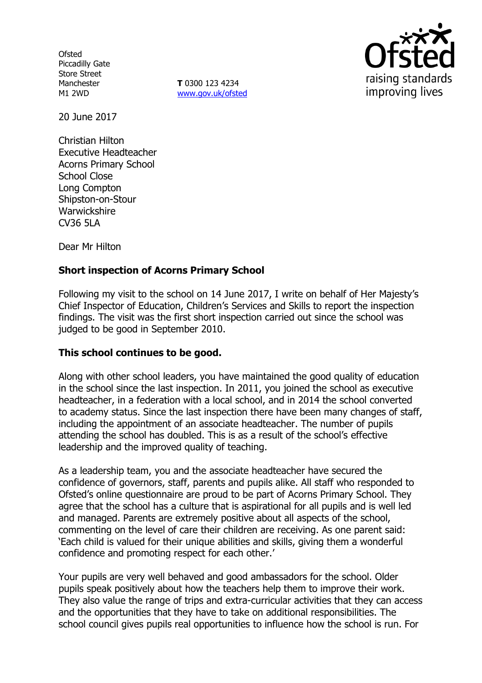**Ofsted** Piccadilly Gate Store Street Manchester M1 2WD

**T** 0300 123 4234 www.gov.uk/ofsted



20 June 2017

Christian Hilton Executive Headteacher Acorns Primary School School Close Long Compton Shipston-on-Stour Warwickshire CV36 5LA

Dear Mr Hilton

# **Short inspection of Acorns Primary School**

Following my visit to the school on 14 June 2017, I write on behalf of Her Majesty's Chief Inspector of Education, Children's Services and Skills to report the inspection findings. The visit was the first short inspection carried out since the school was judged to be good in September 2010.

## **This school continues to be good.**

Along with other school leaders, you have maintained the good quality of education in the school since the last inspection. In 2011, you joined the school as executive headteacher, in a federation with a local school, and in 2014 the school converted to academy status. Since the last inspection there have been many changes of staff, including the appointment of an associate headteacher. The number of pupils attending the school has doubled. This is as a result of the school's effective leadership and the improved quality of teaching.

As a leadership team, you and the associate headteacher have secured the confidence of governors, staff, parents and pupils alike. All staff who responded to Ofsted's online questionnaire are proud to be part of Acorns Primary School. They agree that the school has a culture that is aspirational for all pupils and is well led and managed. Parents are extremely positive about all aspects of the school, commenting on the level of care their children are receiving. As one parent said: 'Each child is valued for their unique abilities and skills, giving them a wonderful confidence and promoting respect for each other.'

Your pupils are very well behaved and good ambassadors for the school. Older pupils speak positively about how the teachers help them to improve their work. They also value the range of trips and extra-curricular activities that they can access and the opportunities that they have to take on additional responsibilities. The school council gives pupils real opportunities to influence how the school is run. For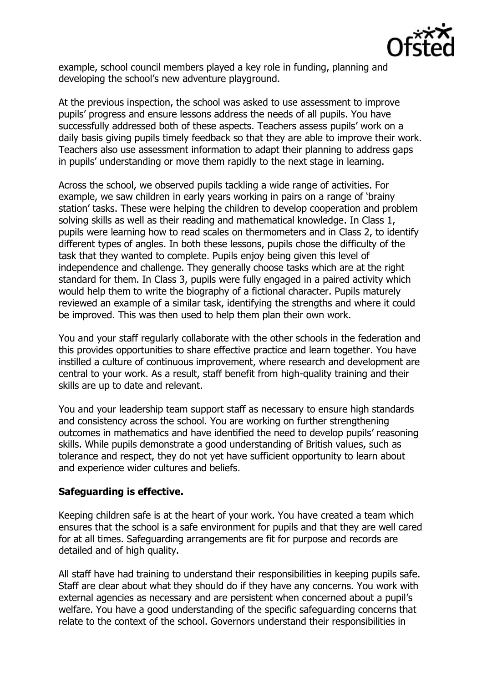

example, school council members played a key role in funding, planning and developing the school's new adventure playground.

At the previous inspection, the school was asked to use assessment to improve pupils' progress and ensure lessons address the needs of all pupils. You have successfully addressed both of these aspects. Teachers assess pupils' work on a daily basis giving pupils timely feedback so that they are able to improve their work. Teachers also use assessment information to adapt their planning to address gaps in pupils' understanding or move them rapidly to the next stage in learning.

Across the school, we observed pupils tackling a wide range of activities. For example, we saw children in early years working in pairs on a range of 'brainy station' tasks. These were helping the children to develop cooperation and problem solving skills as well as their reading and mathematical knowledge. In Class 1, pupils were learning how to read scales on thermometers and in Class 2, to identify different types of angles. In both these lessons, pupils chose the difficulty of the task that they wanted to complete. Pupils enjoy being given this level of independence and challenge. They generally choose tasks which are at the right standard for them. In Class 3, pupils were fully engaged in a paired activity which would help them to write the biography of a fictional character. Pupils maturely reviewed an example of a similar task, identifying the strengths and where it could be improved. This was then used to help them plan their own work.

You and your staff regularly collaborate with the other schools in the federation and this provides opportunities to share effective practice and learn together. You have instilled a culture of continuous improvement, where research and development are central to your work. As a result, staff benefit from high-quality training and their skills are up to date and relevant.

You and your leadership team support staff as necessary to ensure high standards and consistency across the school. You are working on further strengthening outcomes in mathematics and have identified the need to develop pupils' reasoning skills. While pupils demonstrate a good understanding of British values, such as tolerance and respect, they do not yet have sufficient opportunity to learn about and experience wider cultures and beliefs.

## **Safeguarding is effective.**

Keeping children safe is at the heart of your work. You have created a team which ensures that the school is a safe environment for pupils and that they are well cared for at all times. Safeguarding arrangements are fit for purpose and records are detailed and of high quality.

All staff have had training to understand their responsibilities in keeping pupils safe. Staff are clear about what they should do if they have any concerns. You work with external agencies as necessary and are persistent when concerned about a pupil's welfare. You have a good understanding of the specific safeguarding concerns that relate to the context of the school. Governors understand their responsibilities in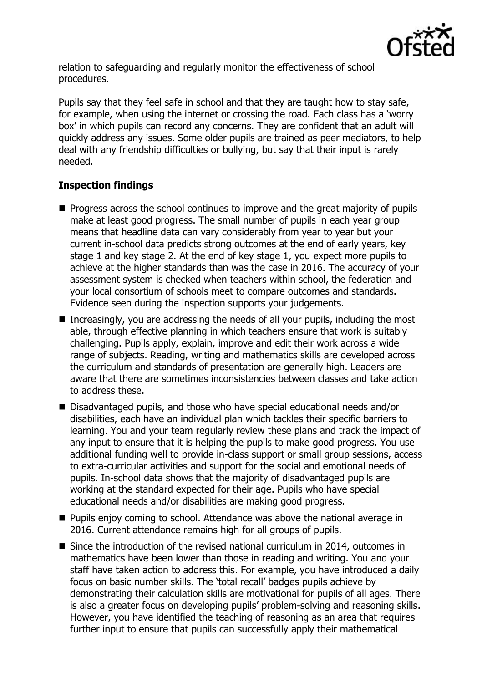

relation to safeguarding and regularly monitor the effectiveness of school procedures.

Pupils say that they feel safe in school and that they are taught how to stay safe, for example, when using the internet or crossing the road. Each class has a 'worry box' in which pupils can record any concerns. They are confident that an adult will quickly address any issues. Some older pupils are trained as peer mediators, to help deal with any friendship difficulties or bullying, but say that their input is rarely needed.

# **Inspection findings**

- $\blacksquare$  Progress across the school continues to improve and the great majority of pupils make at least good progress. The small number of pupils in each year group means that headline data can vary considerably from year to year but your current in-school data predicts strong outcomes at the end of early years, key stage 1 and key stage 2. At the end of key stage 1, you expect more pupils to achieve at the higher standards than was the case in 2016. The accuracy of your assessment system is checked when teachers within school, the federation and your local consortium of schools meet to compare outcomes and standards. Evidence seen during the inspection supports your judgements.
- Increasingly, you are addressing the needs of all your pupils, including the most able, through effective planning in which teachers ensure that work is suitably challenging. Pupils apply, explain, improve and edit their work across a wide range of subjects. Reading, writing and mathematics skills are developed across the curriculum and standards of presentation are generally high. Leaders are aware that there are sometimes inconsistencies between classes and take action to address these.
- Disadvantaged pupils, and those who have special educational needs and/or disabilities, each have an individual plan which tackles their specific barriers to learning. You and your team regularly review these plans and track the impact of any input to ensure that it is helping the pupils to make good progress. You use additional funding well to provide in-class support or small group sessions, access to extra-curricular activities and support for the social and emotional needs of pupils. In-school data shows that the majority of disadvantaged pupils are working at the standard expected for their age. Pupils who have special educational needs and/or disabilities are making good progress.
- **Pupils enjoy coming to school. Attendance was above the national average in** 2016. Current attendance remains high for all groups of pupils.
- Since the introduction of the revised national curriculum in 2014, outcomes in mathematics have been lower than those in reading and writing. You and your staff have taken action to address this. For example, you have introduced a daily focus on basic number skills. The 'total recall' badges pupils achieve by demonstrating their calculation skills are motivational for pupils of all ages. There is also a greater focus on developing pupils' problem-solving and reasoning skills. However, you have identified the teaching of reasoning as an area that requires further input to ensure that pupils can successfully apply their mathematical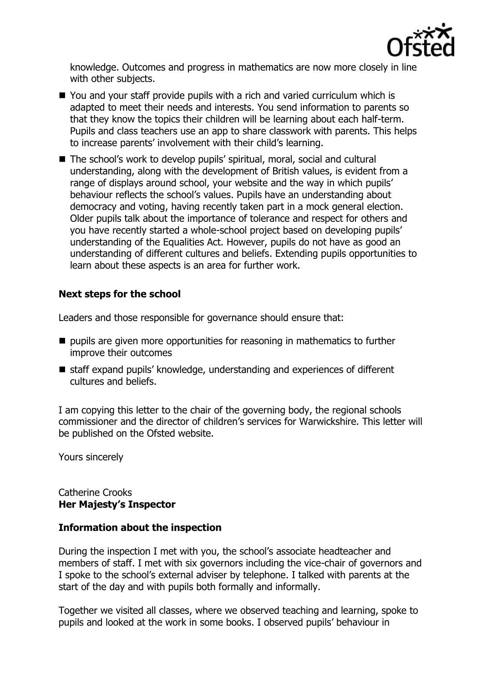

knowledge. Outcomes and progress in mathematics are now more closely in line with other subjects.

- You and your staff provide pupils with a rich and varied curriculum which is adapted to meet their needs and interests. You send information to parents so that they know the topics their children will be learning about each half-term. Pupils and class teachers use an app to share classwork with parents. This helps to increase parents' involvement with their child's learning.
- The school's work to develop pupils' spiritual, moral, social and cultural understanding, along with the development of British values, is evident from a range of displays around school, your website and the way in which pupils' behaviour reflects the school's values. Pupils have an understanding about democracy and voting, having recently taken part in a mock general election. Older pupils talk about the importance of tolerance and respect for others and you have recently started a whole-school project based on developing pupils' understanding of the Equalities Act. However, pupils do not have as good an understanding of different cultures and beliefs. Extending pupils opportunities to learn about these aspects is an area for further work.

## **Next steps for the school**

Leaders and those responsible for governance should ensure that:

- $\blacksquare$  pupils are given more opportunities for reasoning in mathematics to further improve their outcomes
- staff expand pupils' knowledge, understanding and experiences of different cultures and beliefs.

I am copying this letter to the chair of the governing body, the regional schools commissioner and the director of children's services for Warwickshire. This letter will be published on the Ofsted website.

Yours sincerely

#### Catherine Crooks **Her Majesty's Inspector**

## **Information about the inspection**

During the inspection I met with you, the school's associate headteacher and members of staff. I met with six governors including the vice-chair of governors and I spoke to the school's external adviser by telephone. I talked with parents at the start of the day and with pupils both formally and informally.

Together we visited all classes, where we observed teaching and learning, spoke to pupils and looked at the work in some books. I observed pupils' behaviour in